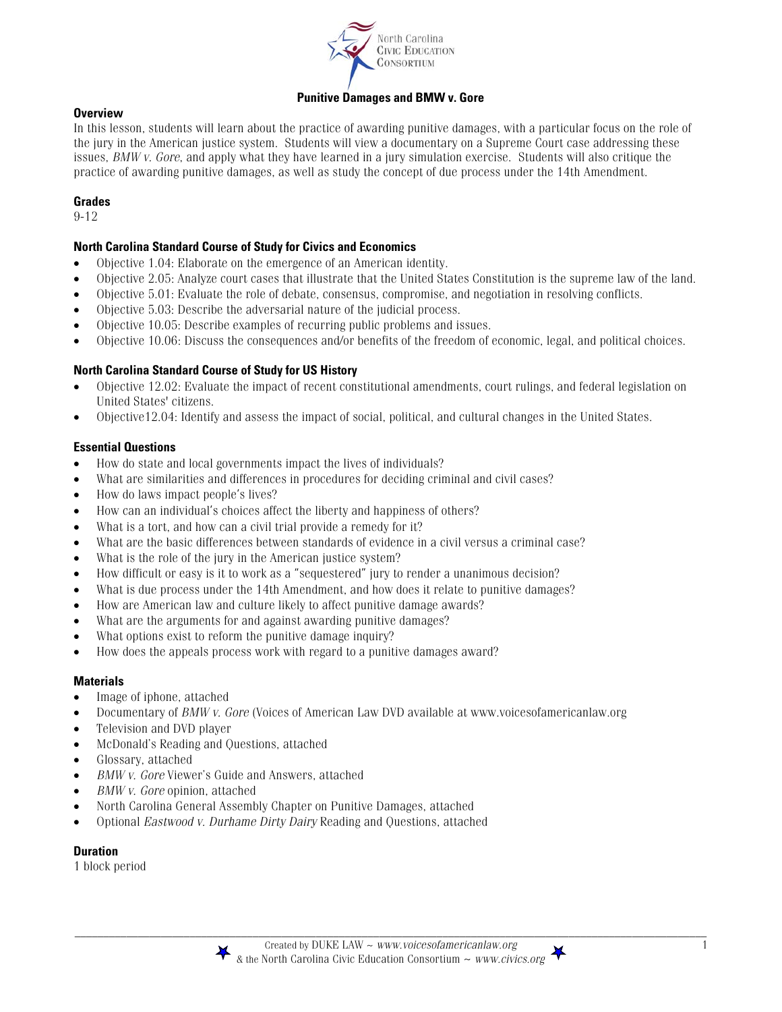

#### **Punitive Damages and BMW v. Gore**

#### **Overview**

In this lesson, students will learn about the practice of awarding punitive damages, with a particular focus on the role of the jury in the American justice system. Students will view a documentary on a Supreme Court case addressing these issues, *BMW v. Gore*, and apply what they have learned in a jury simulation exercise. Students will also critique the practice of awarding punitive damages, as well as study the concept of due process under the 14th Amendment.

#### **Grades**

9-12

#### **North Carolina Standard Course of Study for Civics and Economics**

- Objective 1.04: Elaborate on the emergence of an American identity.
- Objective 2.05: Analyze court cases that illustrate that the United States Constitution is the supreme law of the land.
- Objective 5.01: Evaluate the role of debate, consensus, compromise, and negotiation in resolving conflicts.
- Objective 5.03: Describe the adversarial nature of the judicial process.
- Objective 10.05: Describe examples of recurring public problems and issues.
- Objective 10.06: Discuss the consequences and/or benefits of the freedom of economic, legal, and political choices.

#### **North Carolina Standard Course of Study for US History**

- Objective 12.02: Evaluate the impact of recent constitutional amendments, court rulings, and federal legislation on United States' citizens.
- Objective12.04: Identify and assess the impact of social, political, and cultural changes in the United States.

#### **Essential Questions**

- How do state and local governments impact the lives of individuals?
- What are similarities and differences in procedures for deciding criminal and civil cases?
- How do laws impact people's lives?
- How can an individual's choices affect the liberty and happiness of others?
- What is a tort, and how can a civil trial provide a remedy for it?
- What are the basic differences between standards of evidence in a civil versus a criminal case?
- What is the role of the jury in the American justice system?
- How difficult or easy is it to work as a "sequestered" jury to render a unanimous decision?
- What is due process under the 14th Amendment, and how does it relate to punitive damages?
- How are American law and culture likely to affect punitive damage awards?
- What are the arguments for and against awarding punitive damages?
- What options exist to reform the punitive damage inquiry?
- How does the appeals process work with regard to a punitive damages award?

#### **Materials**

- Image of iphone, attached
- Documentary of *BMW v. Gore* (Voices of American Law DVD available at www.voicesofamericanlaw.org
- Television and DVD player
- McDonald's Reading and Questions, attached
- Glossary, attached
- *BMW v. Gore* Viewer's Guide and Answers, attached
- *BMW v. Gore* opinion, attached
- North Carolina General Assembly Chapter on Punitive Damages, attached
- Optional *Eastwood v. Durhame Dirty Dairy* Reading and Questions, attached

### **Duration**

1 block period

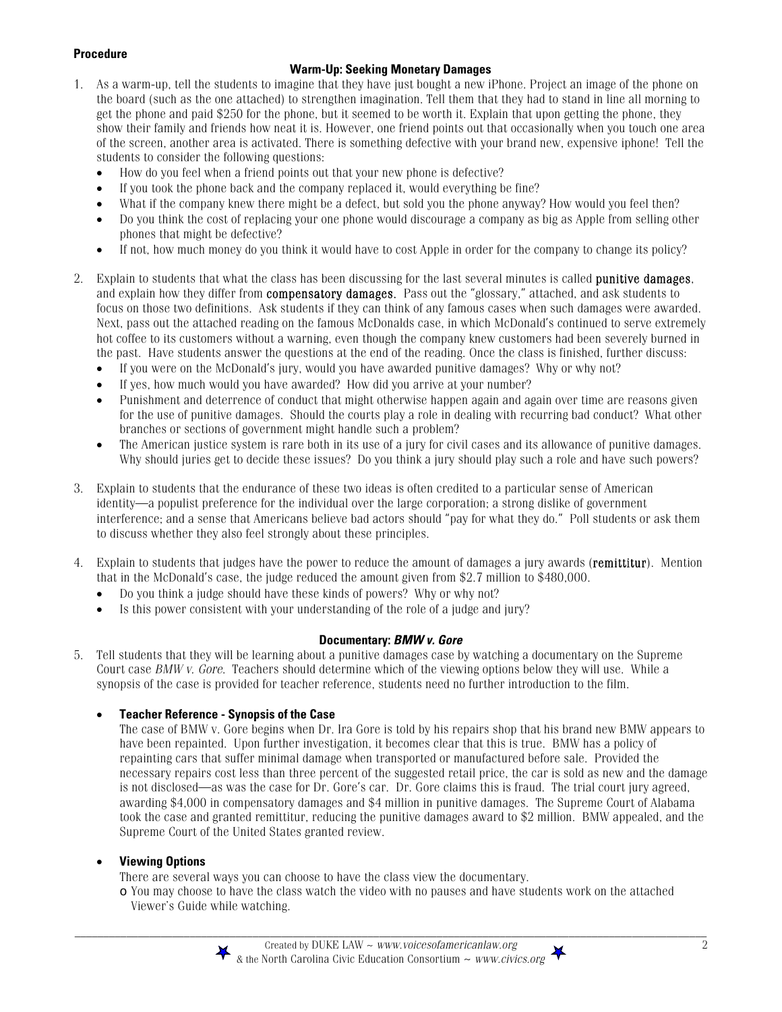### **Procedure**

### **Warm-Up: Seeking Monetary Damages**

- 1. As a warm-up, tell the students to imagine that they have just bought a new iPhone. Project an image of the phone on the board (such as the one attached) to strengthen imagination. Tell them that they had to stand in line all morning to get the phone and paid \$250 for the phone, but it seemed to be worth it. Explain that upon getting the phone, they show their family and friends how neat it is. However, one friend points out that occasionally when you touch one area of the screen, another area is activated. There is something defective with your brand new, expensive iphone! Tell the students to consider the following questions:
	- How do you feel when a friend points out that your new phone is defective?
	- If you took the phone back and the company replaced it, would everything be fine?
	- What if the company knew there might be a defect, but sold you the phone anyway? How would you feel then?
	- Do you think the cost of replacing your one phone would discourage a company as big as Apple from selling other phones that might be defective?
	- If not, how much money do you think it would have to cost Apple in order for the company to change its policy?
- 2. Explain to students that what the class has been discussing for the last several minutes is called punitive damages, and explain how they differ from **compensatory damages.** Pass out the "glossary," attached, and ask students to focus on those two definitions. Ask students if they can think of any famous cases when such damages were awarded. Next, pass out the attached reading on the famous McDonalds case, in which McDonald's continued to serve extremely hot coffee to its customers without a warning, even though the company knew customers had been severely burned in the past. Have students answer the questions at the end of the reading. Once the class is finished, further discuss:
	- If you were on the McDonald's jury, would you have awarded punitive damages? Why or why not?
	- If yes, how much would you have awarded? How did you arrive at your number?
	- Punishment and deterrence of conduct that might otherwise happen again and again over time are reasons given for the use of punitive damages. Should the courts play a role in dealing with recurring bad conduct? What other branches or sections of government might handle such a problem?
	- The American justice system is rare both in its use of a jury for civil cases and its allowance of punitive damages. Why should juries get to decide these issues? Do you think a jury should play such a role and have such powers?
- 3. Explain to students that the endurance of these two ideas is often credited to a particular sense of American identity—a populist preference for the individual over the large corporation; a strong dislike of government interference; and a sense that Americans believe bad actors should "pay for what they do." Poll students or ask them to discuss whether they also feel strongly about these principles.
- 4. Explain to students that judges have the power to reduce the amount of damages a jury awards (remittitur). Mention that in the McDonald's case, the judge reduced the amount given from \$2.7 million to \$480,000.
	- Do you think a judge should have these kinds of powers? Why or why not?
	- Is this power consistent with your understanding of the role of a judge and jury?

### **Documentary:** *BMW v. Gore*

5. Tell students that they will be learning about a punitive damages case by watching a documentary on the Supreme Court case *BMW v. Gore*. Teachers should determine which of the viewing options below they will use. While a synopsis of the case is provided for teacher reference, students need no further introduction to the film.

### • **Teacher Reference - Synopsis of the Case**

The case of BMW v. Gore begins when Dr. Ira Gore is told by his repairs shop that his brand new BMW appears to have been repainted. Upon further investigation, it becomes clear that this is true. BMW has a policy of repainting cars that suffer minimal damage when transported or manufactured before sale. Provided the necessary repairs cost less than three percent of the suggested retail price, the car is sold as new and the damage is not disclosed—as was the case for Dr. Gore's car. Dr. Gore claims this is fraud. The trial court jury agreed, awarding \$4,000 in compensatory damages and \$4 million in punitive damages. The Supreme Court of Alabama took the case and granted remittitur, reducing the punitive damages award to \$2 million. BMW appealed, and the Supreme Court of the United States granted review.

### • **Viewing Options**

There are several ways you can choose to have the class view the documentary.

o You may choose to have the class watch the video with no pauses and have students work on the attached Viewer's Guide while watching.

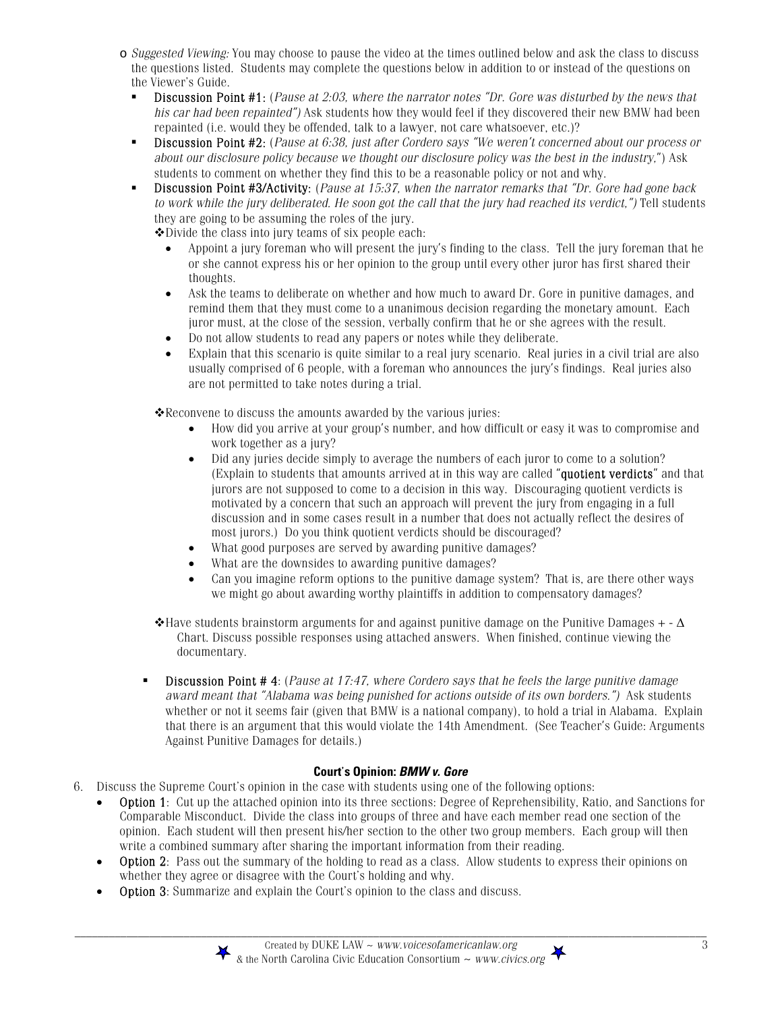- o *Suggested Viewing:* You may choose to pause the video at the times outlined below and ask the class to discuss the questions listed. Students may complete the questions below in addition to or instead of the questions on the Viewer's Guide.
	- Discussion Point #1: (*Pause at 2:03, where the narrator notes "Dr. Gore was disturbed by the news that his car had been repainted")* Ask students how they would feel if they discovered their new BMW had been repainted (i.e. would they be offended, talk to a lawyer, not care whatsoever, etc.)?
	- Discussion Point #2: (*Pause at 6:38, just after Cordero says "We weren't concerned about our process or about our disclosure policy because we thought our disclosure policy was the best in the industry,*") Ask students to comment on whether they find this to be a reasonable policy or not and why.
	- Discussion Point #3/Activity: (*Pause at 15:37, when the narrator remarks that "Dr. Gore had gone back to work while the jury deliberated. He soon got the call that the jury had reached its verdict,")* Tell students they are going to be assuming the roles of the jury.

Divide the class into jury teams of six people each:

- Appoint a jury foreman who will present the jury's finding to the class. Tell the jury foreman that he or she cannot express his or her opinion to the group until every other juror has first shared their thoughts.
- Ask the teams to deliberate on whether and how much to award Dr. Gore in punitive damages, and remind them that they must come to a unanimous decision regarding the monetary amount. Each juror must, at the close of the session, verbally confirm that he or she agrees with the result.
- Do not allow students to read any papers or notes while they deliberate.
- Explain that this scenario is quite similar to a real jury scenario. Real juries in a civil trial are also usually comprised of 6 people, with a foreman who announces the jury's findings. Real juries also are not permitted to take notes during a trial.

Reconvene to discuss the amounts awarded by the various juries:

- How did you arrive at your group's number, and how difficult or easy it was to compromise and work together as a jury?
- Did any juries decide simply to average the numbers of each juror to come to a solution? (Explain to students that amounts arrived at in this way are called "quotient verdicts" and that jurors are not supposed to come to a decision in this way. Discouraging quotient verdicts is motivated by a concern that such an approach will prevent the jury from engaging in a full discussion and in some cases result in a number that does not actually reflect the desires of most jurors.) Do you think quotient verdicts should be discouraged?
- What good purposes are served by awarding punitive damages?
- What are the downsides to awarding punitive damages?
- Can you imagine reform options to the punitive damage system? That is, are there other ways we might go about awarding worthy plaintiffs in addition to compensatory damages?
- $\triangle$  Have students brainstorm arguments for and against punitive damage on the Punitive Damages  $+ \Delta$ Chart. Discuss possible responses using attached answers. When finished, continue viewing the documentary.
- Discussion Point # 4: (*Pause at 17:47, where Cordero says that he feels the large punitive damage award meant that "Alabama was being punished for actions outside of its own borders.")* Ask students whether or not it seems fair (given that BMW is a national company), to hold a trial in Alabama. Explain that there is an argument that this would violate the 14th Amendment. (See Teacher's Guide: Arguments Against Punitive Damages for details.)

### **Court**'**s Opinion:** *BMW v. Gore*

- 6. Discuss the Supreme Court's opinion in the case with students using one of the following options:
	- Option 1: Cut up the attached opinion into its three sections: Degree of Reprehensibility, Ratio, and Sanctions for Comparable Misconduct. Divide the class into groups of three and have each member read one section of the opinion. Each student will then present his/her section to the other two group members. Each group will then write a combined summary after sharing the important information from their reading.
	- Option 2: Pass out the summary of the holding to read as a class. Allow students to express their opinions on whether they agree or disagree with the Court's holding and why.
	- Option 3: Summarize and explain the Court's opinion to the class and discuss.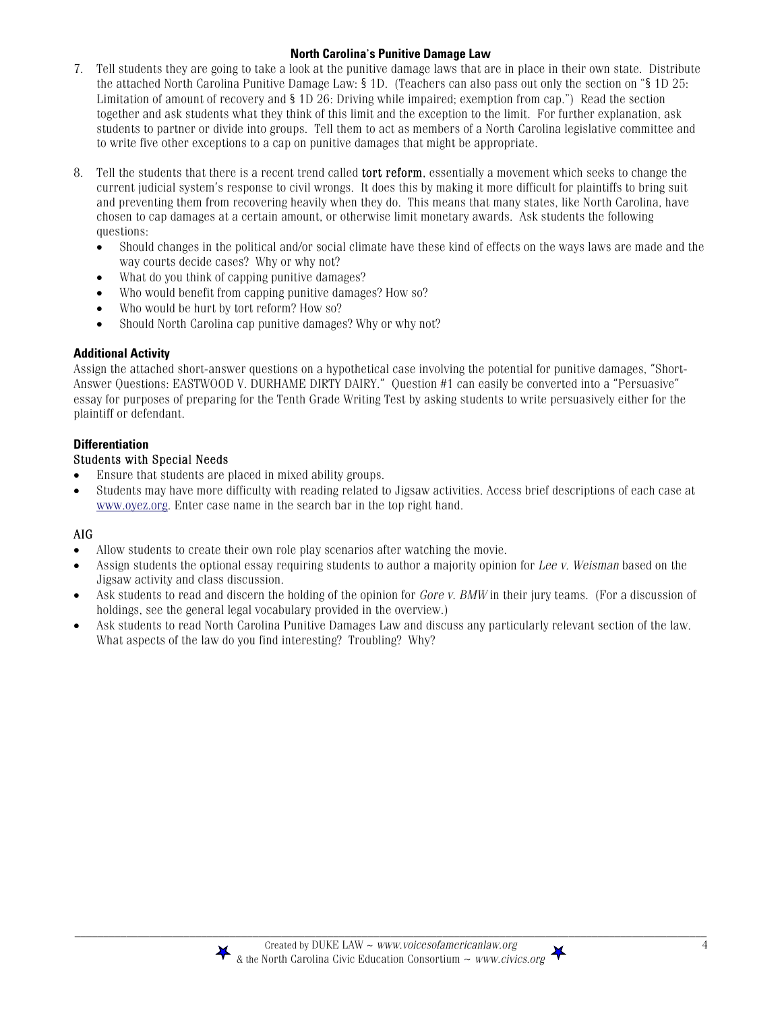### **North Carolina**'**s Punitive Damage Law**

- 7. Tell students they are going to take a look at the punitive damage laws that are in place in their own state. Distribute the attached North Carolina Punitive Damage Law: § 1D. (Teachers can also pass out only the section on "§ 1D 25: Limitation of amount of recovery and § 1D 26: Driving while impaired; exemption from cap.") Read the section together and ask students what they think of this limit and the exception to the limit. For further explanation, ask students to partner or divide into groups. Tell them to act as members of a North Carolina legislative committee and to write five other exceptions to a cap on punitive damages that might be appropriate.
- 8. Tell the students that there is a recent trend called **tort reform**, essentially a movement which seeks to change the current judicial system's response to civil wrongs. It does this by making it more difficult for plaintiffs to bring suit and preventing them from recovering heavily when they do. This means that many states, like North Carolina, have chosen to cap damages at a certain amount, or otherwise limit monetary awards. Ask students the following questions:
	- Should changes in the political and/or social climate have these kind of effects on the ways laws are made and the way courts decide cases? Why or why not?
	- What do you think of capping punitive damages?
	- Who would benefit from capping punitive damages? How so?
	- Who would be hurt by tort reform? How so?
	- Should North Carolina cap punitive damages? Why or why not?

### **Additional Activity**

Assign the attached short-answer questions on a hypothetical case involving the potential for punitive damages, "Short-Answer Questions: EASTWOOD V. DURHAME DIRTY DAIRY." Question #1 can easily be converted into a "Persuasive" essay for purposes of preparing for the Tenth Grade Writing Test by asking students to write persuasively either for the plaintiff or defendant.

# **Differentiation**

### Students with Special Needs

- Ensure that students are placed in mixed ability groups.
- Students may have more difficulty with reading related to Jigsaw activities. Access brief descriptions of each case at www.oyez.org. Enter case name in the search bar in the top right hand.

### AIG

- Allow students to create their own role play scenarios after watching the movie.
- Assign students the optional essay requiring students to author a majority opinion for *Lee v. Weisman* based on the Jigsaw activity and class discussion.
- Ask students to read and discern the holding of the opinion for *Gore v. BMW* in their jury teams. (For a discussion of holdings, see the general legal vocabulary provided in the overview.)
- Ask students to read North Carolina Punitive Damages Law and discuss any particularly relevant section of the law. What aspects of the law do you find interesting? Troubling? Why?

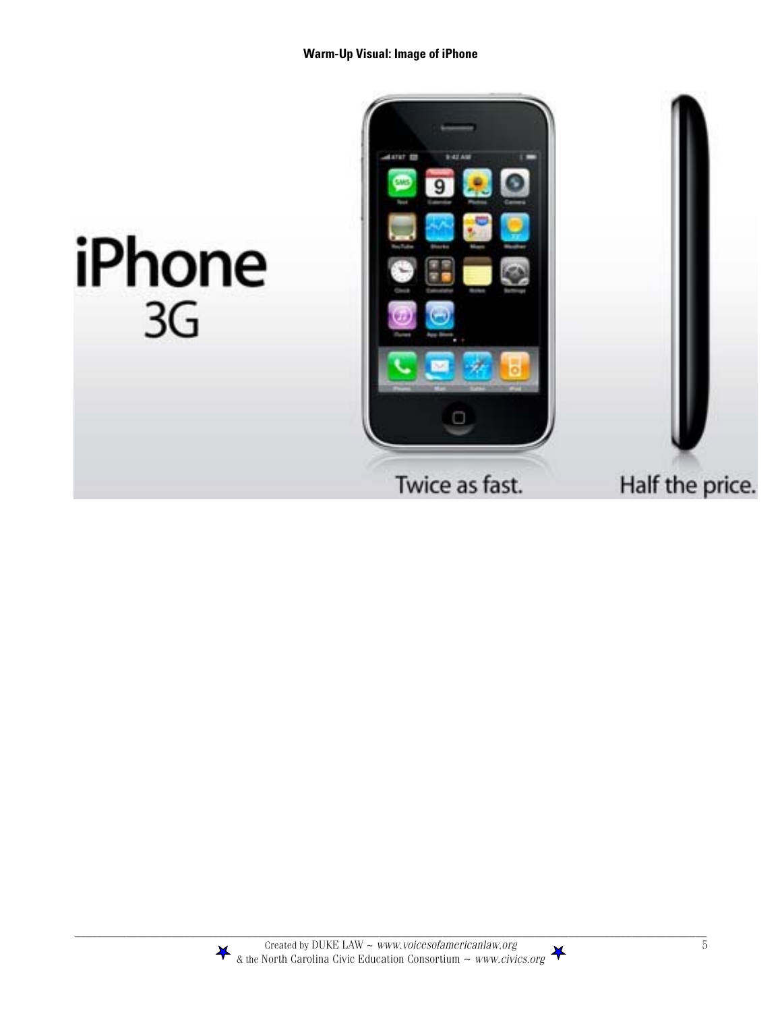

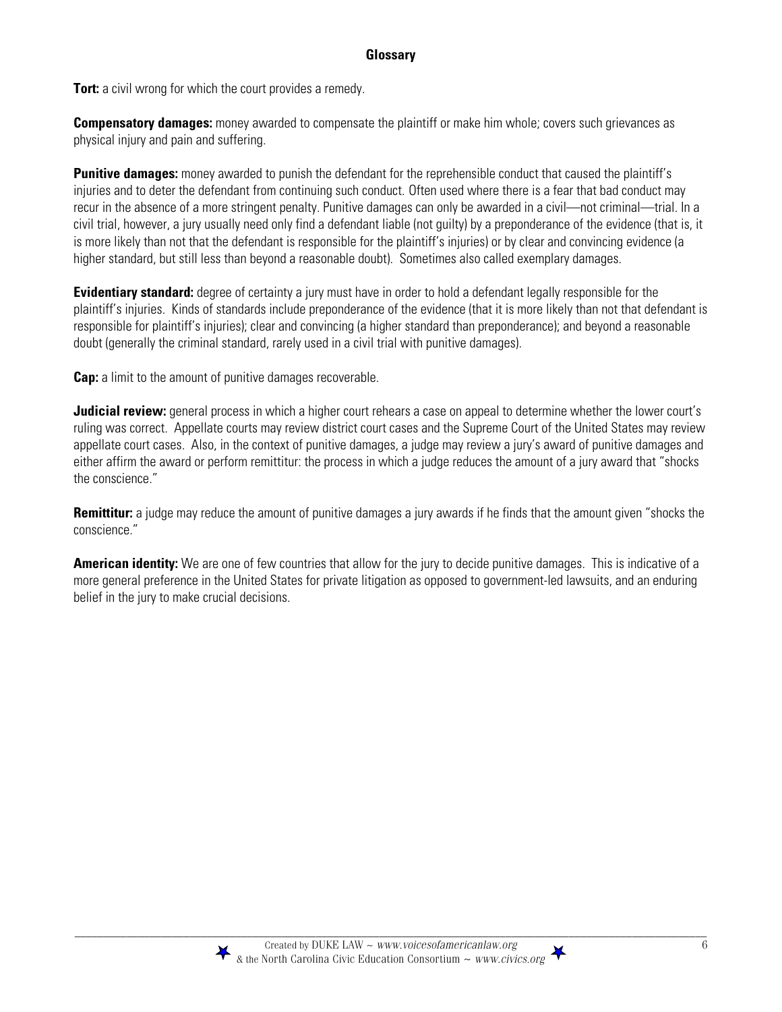### **Glossary**

**Tort:** a civil wrong for which the court provides a remedy.

**Compensatory damages:** money awarded to compensate the plaintiff or make him whole; covers such grievances as physical injury and pain and suffering.

**Punitive damages:** money awarded to punish the defendant for the reprehensible conduct that caused the plaintiff's injuries and to deter the defendant from continuing such conduct. Often used where there is a fear that bad conduct may recur in the absence of a more stringent penalty. Punitive damages can only be awarded in a civil—not criminal—trial. In a civil trial, however, a jury usually need only find a defendant liable (not guilty) by a preponderance of the evidence (that is, it is more likely than not that the defendant is responsible for the plaintiff's injuries) or by clear and convincing evidence (a higher standard, but still less than beyond a reasonable doubt). Sometimes also called exemplary damages.

**Evidentiary standard:** degree of certainty a jury must have in order to hold a defendant legally responsible for the plaintiff's injuries. Kinds of standards include preponderance of the evidence (that it is more likely than not that defendant is responsible for plaintiff's injuries); clear and convincing (a higher standard than preponderance); and beyond a reasonable doubt (generally the criminal standard, rarely used in a civil trial with punitive damages).

**Cap:** a limit to the amount of punitive damages recoverable.

**Judicial review:** general process in which a higher court rehears a case on appeal to determine whether the lower court's ruling was correct. Appellate courts may review district court cases and the Supreme Court of the United States may review appellate court cases. Also, in the context of punitive damages, a judge may review a jury's award of punitive damages and either affirm the award or perform remittitur: the process in which a judge reduces the amount of a jury award that "shocks the conscience."

**Remittitur:** a judge may reduce the amount of punitive damages a jury awards if he finds that the amount given "shocks the conscience."

**American identity:** We are one of few countries that allow for the jury to decide punitive damages. This is indicative of a more general preference in the United States for private litigation as opposed to government-led lawsuits, and an enduring belief in the jury to make crucial decisions.

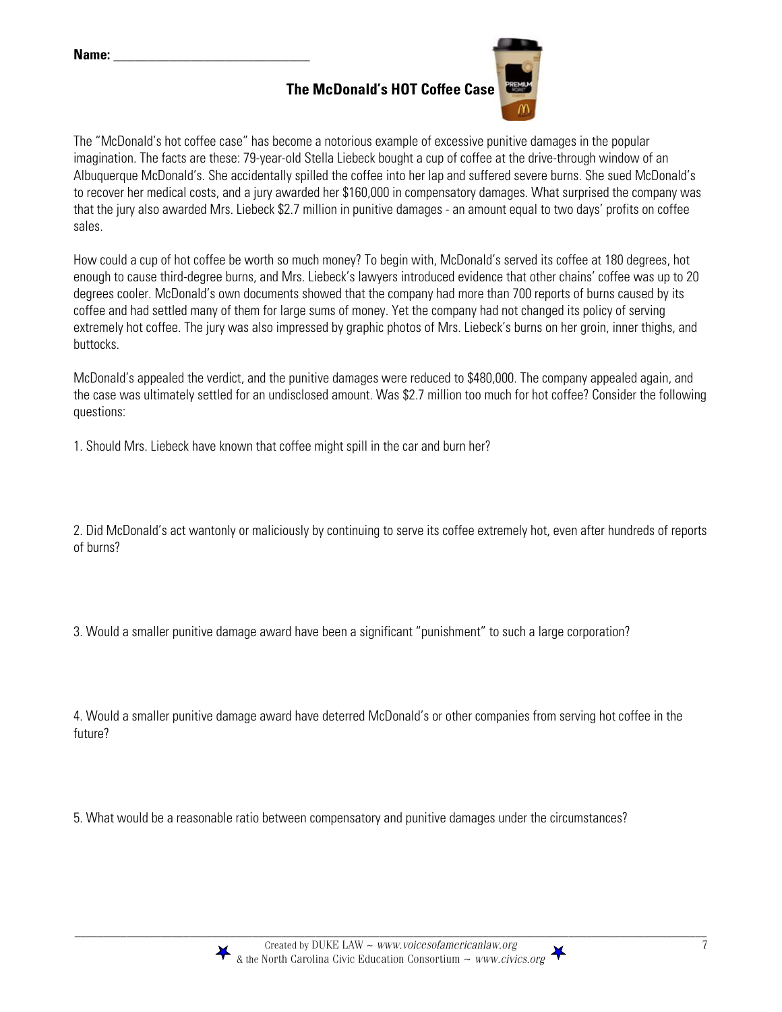Name:

# **The McDonald's HOT Coffee Case**



The "McDonald's hot coffee case" has become a notorious example of excessive punitive damages in the popular imagination. The facts are these: 79-year-old Stella Liebeck bought a cup of coffee at the drive-through window of an Albuquerque McDonald's. She accidentally spilled the coffee into her lap and suffered severe burns. She sued McDonald's to recover her medical costs, and a jury awarded her \$160,000 in compensatory damages. What surprised the company was that the jury also awarded Mrs. Liebeck \$2.7 million in punitive damages - an amount equal to two days' profits on coffee sales.

How could a cup of hot coffee be worth so much money? To begin with, McDonald's served its coffee at 180 degrees, hot enough to cause third-degree burns, and Mrs. Liebeck's lawyers introduced evidence that other chains' coffee was up to 20 degrees cooler. McDonald's own documents showed that the company had more than 700 reports of burns caused by its coffee and had settled many of them for large sums of money. Yet the company had not changed its policy of serving extremely hot coffee. The jury was also impressed by graphic photos of Mrs. Liebeck's burns on her groin, inner thighs, and buttocks.

McDonald's appealed the verdict, and the punitive damages were reduced to \$480,000. The company appealed again, and the case was ultimately settled for an undisclosed amount. Was \$2.7 million too much for hot coffee? Consider the following questions:

1. Should Mrs. Liebeck have known that coffee might spill in the car and burn her?

2. Did McDonald's act wantonly or maliciously by continuing to serve its coffee extremely hot, even after hundreds of reports of burns?

3. Would a smaller punitive damage award have been a significant "punishment" to such a large corporation?

4. Would a smaller punitive damage award have deterred McDonald's or other companies from serving hot coffee in the future?

5. What would be a reasonable ratio between compensatory and punitive damages under the circumstances?

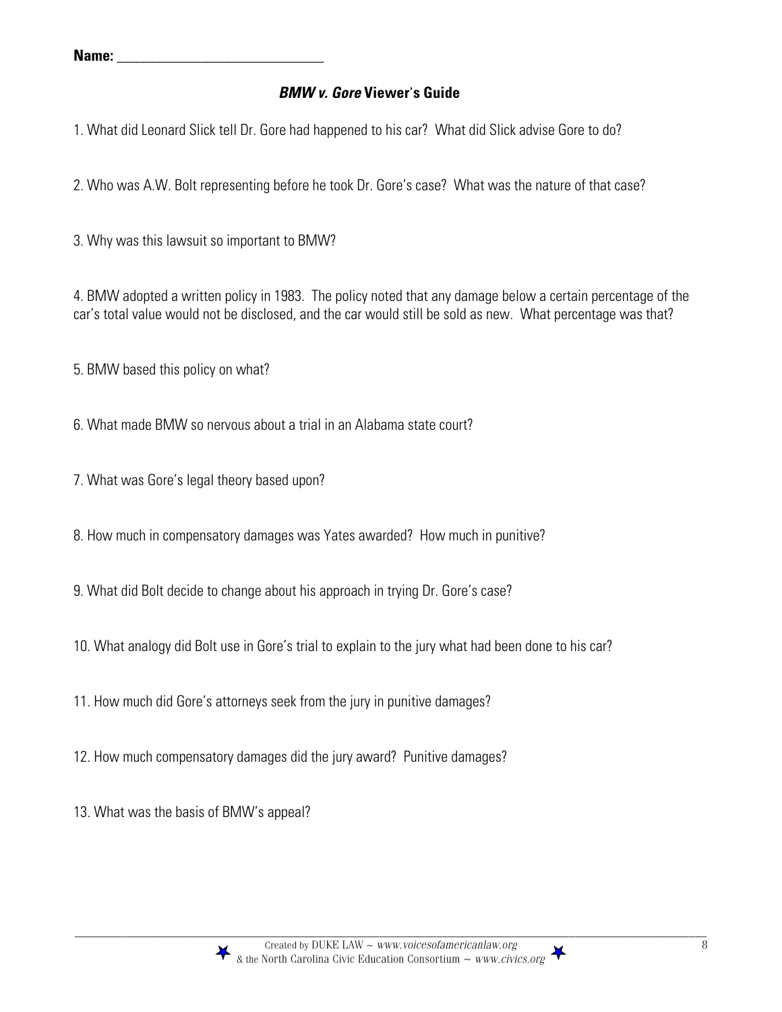Name:

# *BMW v. Gore* **Viewer**'**s Guide**

1. What did Leonard Slick tell Dr. Gore had happened to his car? What did Slick advise Gore to do?

2. Who was A.W. Bolt representing before he took Dr. Gore's case? What was the nature of that case?

3. Why was this lawsuit so important to BMW?

4. BMW adopted a written policy in 1983. The policy noted that any damage below a certain percentage of the car's total value would not be disclosed, and the car would still be sold as new. What percentage was that?

5. BMW based this policy on what?

6. What made BMW so nervous about a trial in an Alabama state court?

7. What was Gore's legal theory based upon?

8. How much in compensatory damages was Yates awarded? How much in punitive?

9. What did Bolt decide to change about his approach in trying Dr. Gore's case?

10. What analogy did Bolt use in Gore's trial to explain to the jury what had been done to his car?

11. How much did Gore's attorneys seek from the jury in punitive damages?

12. How much compensatory damages did the jury award? Punitive damages?

13. What was the basis of BMW's appeal?

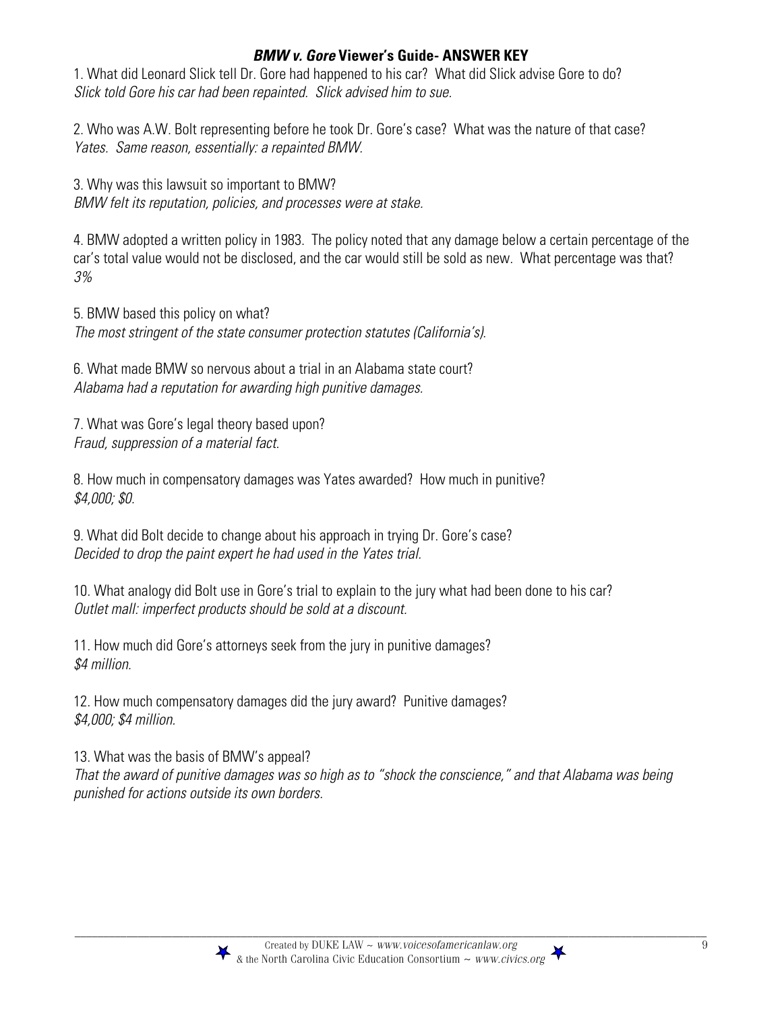# *BMW v. Gore* **Viewer's Guide- ANSWER KEY**

1. What did Leonard Slick tell Dr. Gore had happened to his car? What did Slick advise Gore to do? *Slick told Gore his car had been repainted. Slick advised him to sue.* 

2. Who was A.W. Bolt representing before he took Dr. Gore's case? What was the nature of that case? *Yates. Same reason, essentially: a repainted BMW.* 

3. Why was this lawsuit so important to BMW? *BMW felt its reputation, policies, and processes were at stake.* 

4. BMW adopted a written policy in 1983. The policy noted that any damage below a certain percentage of the car's total value would not be disclosed, and the car would still be sold as new. What percentage was that? *3%* 

5. BMW based this policy on what? *The most stringent of the state consumer protection statutes (California's).* 

6. What made BMW so nervous about a trial in an Alabama state court? *Alabama had a reputation for awarding high punitive damages.* 

7. What was Gore's legal theory based upon? *Fraud, suppression of a material fact.* 

8. How much in compensatory damages was Yates awarded? How much in punitive? *\$4,000; \$0.* 

9. What did Bolt decide to change about his approach in trying Dr. Gore's case? *Decided to drop the paint expert he had used in the Yates trial.* 

10. What analogy did Bolt use in Gore's trial to explain to the jury what had been done to his car? *Outlet mall: imperfect products should be sold at a discount.* 

11. How much did Gore's attorneys seek from the jury in punitive damages? *\$4 million.* 

12. How much compensatory damages did the jury award? Punitive damages? *\$4,000; \$4 million.* 

13. What was the basis of BMW's appeal? *That the award of punitive damages was so high as to "shock the conscience," and that Alabama was being punished for actions outside its own borders.* 

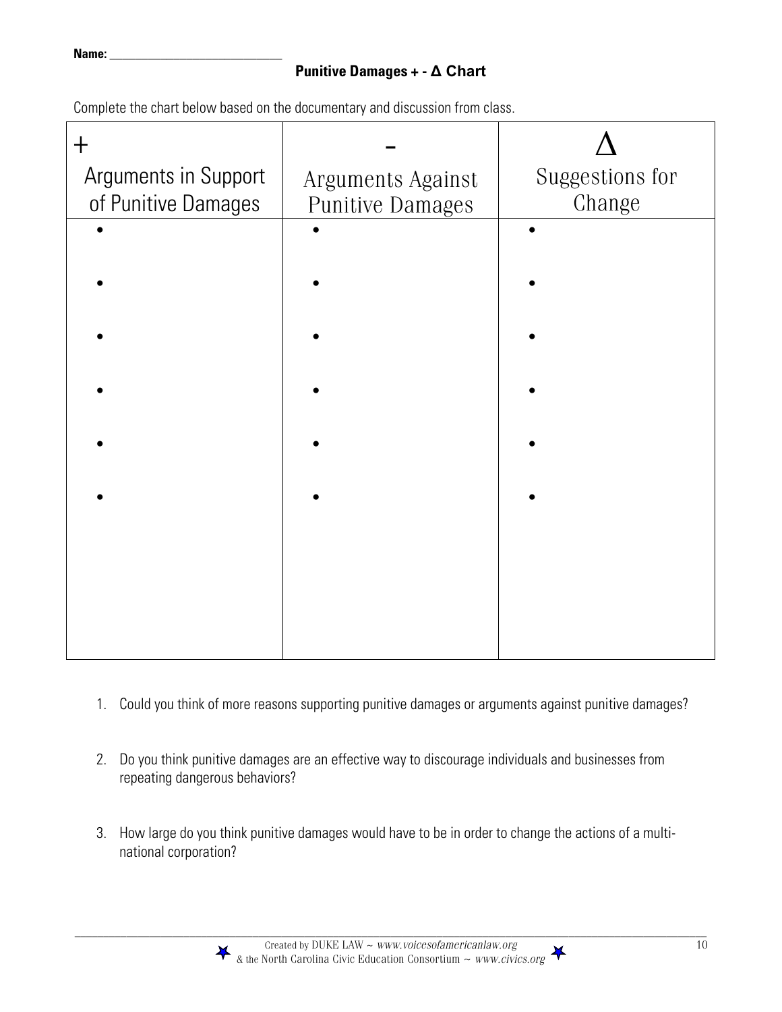Complete the chart below based on the documentary and discussion from class.

| ╅                    |                         |                 |
|----------------------|-------------------------|-----------------|
| Arguments in Support | Arguments Against       | Suggestions for |
| of Punitive Damages  | <b>Punitive Damages</b> | Change          |
|                      |                         |                 |
|                      |                         |                 |
|                      |                         |                 |
|                      |                         |                 |
|                      |                         |                 |
|                      |                         |                 |
|                      |                         |                 |
|                      |                         |                 |
|                      |                         |                 |

- 1. Could you think of more reasons supporting punitive damages or arguments against punitive damages?
- 2. Do you think punitive damages are an effective way to discourage individuals and businesses from repeating dangerous behaviors?
- 3. How large do you think punitive damages would have to be in order to change the actions of a multinational corporation?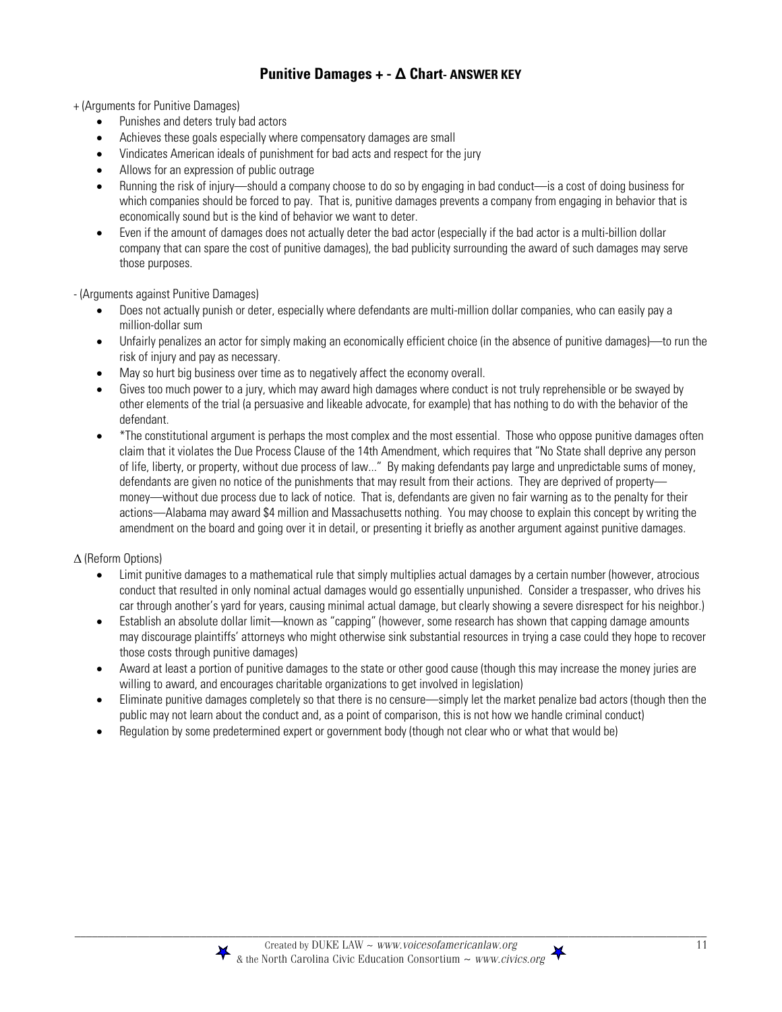## **Punitive Damages + - Δ Chart- ANSWER KEY**

+ (Arguments for Punitive Damages)

- Punishes and deters truly bad actors
- Achieves these goals especially where compensatory damages are small
- Vindicates American ideals of punishment for bad acts and respect for the jury
- Allows for an expression of public outrage
- Running the risk of injury—should a company choose to do so by engaging in bad conduct—is a cost of doing business for which companies should be forced to pay. That is, punitive damages prevents a company from engaging in behavior that is economically sound but is the kind of behavior we want to deter.
- Even if the amount of damages does not actually deter the bad actor (especially if the bad actor is a multi-billion dollar company that can spare the cost of punitive damages), the bad publicity surrounding the award of such damages may serve those purposes.

- (Arguments against Punitive Damages)

- Does not actually punish or deter, especially where defendants are multi-million dollar companies, who can easily pay a million-dollar sum
- Unfairly penalizes an actor for simply making an economically efficient choice (in the absence of punitive damages)—to run the risk of injury and pay as necessary.
- May so hurt big business over time as to negatively affect the economy overall.
- Gives too much power to a jury, which may award high damages where conduct is not truly reprehensible or be swayed by other elements of the trial (a persuasive and likeable advocate, for example) that has nothing to do with the behavior of the defendant.
- \*The constitutional argument is perhaps the most complex and the most essential. Those who oppose punitive damages often claim that it violates the Due Process Clause of the 14th Amendment, which requires that "No State shall deprive any person of life, liberty, or property, without due process of law..." By making defendants pay large and unpredictable sums of money, defendants are given no notice of the punishments that may result from their actions. They are deprived of property money—without due process due to lack of notice. That is, defendants are given no fair warning as to the penalty for their actions—Alabama may award \$4 million and Massachusetts nothing. You may choose to explain this concept by writing the amendment on the board and going over it in detail, or presenting it briefly as another argument against punitive damages.

### Δ (Reform Options)

- Limit punitive damages to a mathematical rule that simply multiplies actual damages by a certain number (however, atrocious conduct that resulted in only nominal actual damages would go essentially unpunished. Consider a trespasser, who drives his car through another's yard for years, causing minimal actual damage, but clearly showing a severe disrespect for his neighbor.)
- Establish an absolute dollar limit—known as "capping" (however, some research has shown that capping damage amounts may discourage plaintiffs' attorneys who might otherwise sink substantial resources in trying a case could they hope to recover those costs through punitive damages)
- Award at least a portion of punitive damages to the state or other good cause (though this may increase the money juries are willing to award, and encourages charitable organizations to get involved in legislation)
- Eliminate punitive damages completely so that there is no censure—simply let the market penalize bad actors (though then the public may not learn about the conduct and, as a point of comparison, this is not how we handle criminal conduct)
- Regulation by some predetermined expert or government body (though not clear who or what that would be)

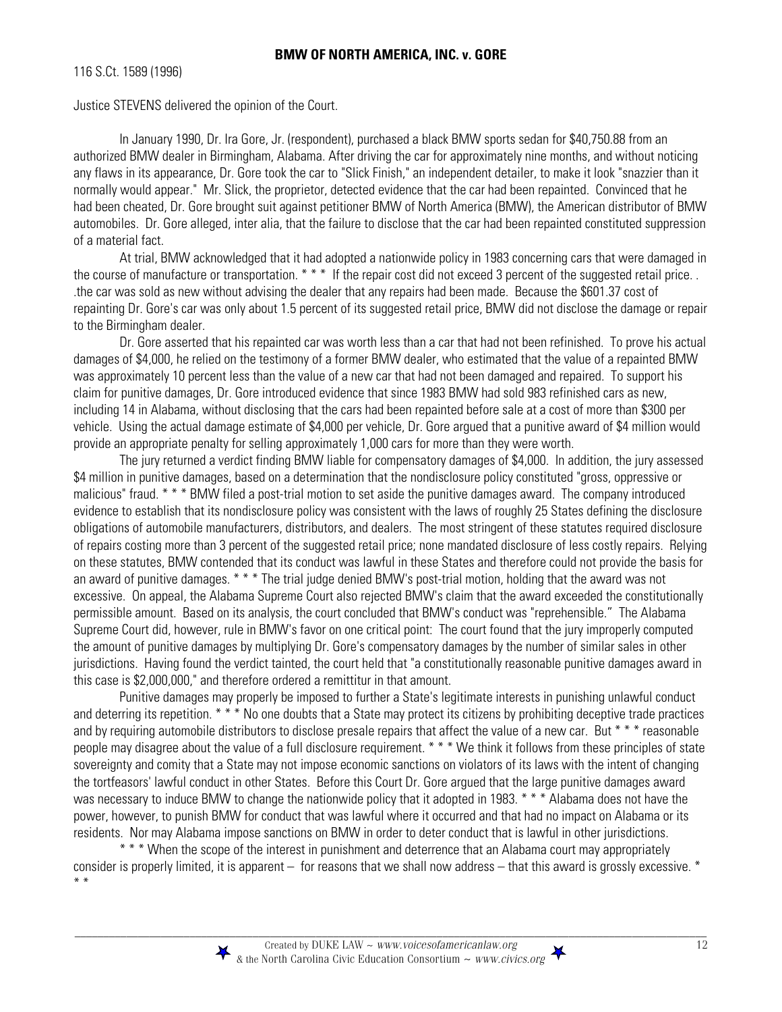### **BMW OF NORTH AMERICA, INC. v. GORE**

Justice STEVENS delivered the opinion of the Court.

 In January 1990, Dr. Ira Gore, Jr. (respondent), purchased a black BMW sports sedan for \$40,750.88 from an authorized BMW dealer in Birmingham, Alabama. After driving the car for approximately nine months, and without noticing any flaws in its appearance, Dr. Gore took the car to "Slick Finish," an independent detailer, to make it look "snazzier than it normally would appear." Mr. Slick, the proprietor, detected evidence that the car had been repainted. Convinced that he had been cheated, Dr. Gore brought suit against petitioner BMW of North America (BMW), the American distributor of BMW automobiles. Dr. Gore alleged, inter alia, that the failure to disclose that the car had been repainted constituted suppression of a material fact.

 At trial, BMW acknowledged that it had adopted a nationwide policy in 1983 concerning cars that were damaged in the course of manufacture or transportation. \*\*\* If the repair cost did not exceed 3 percent of the suggested retail price.. .the car was sold as new without advising the dealer that any repairs had been made. Because the \$601.37 cost of repainting Dr. Gore's car was only about 1.5 percent of its suggested retail price, BMW did not disclose the damage or repair to the Birmingham dealer.

 Dr. Gore asserted that his repainted car was worth less than a car that had not been refinished. To prove his actual damages of \$4,000, he relied on the testimony of a former BMW dealer, who estimated that the value of a repainted BMW was approximately 10 percent less than the value of a new car that had not been damaged and repaired. To support his claim for punitive damages, Dr. Gore introduced evidence that since 1983 BMW had sold 983 refinished cars as new, including 14 in Alabama, without disclosing that the cars had been repainted before sale at a cost of more than \$300 per vehicle. Using the actual damage estimate of \$4,000 per vehicle, Dr. Gore argued that a punitive award of \$4 million would provide an appropriate penalty for selling approximately 1,000 cars for more than they were worth.

 The jury returned a verdict finding BMW liable for compensatory damages of \$4,000. In addition, the jury assessed \$4 million in punitive damages, based on a determination that the nondisclosure policy constituted "gross, oppressive or malicious" fraud. \* \* \* BMW filed a post-trial motion to set aside the punitive damages award. The company introduced evidence to establish that its nondisclosure policy was consistent with the laws of roughly 25 States defining the disclosure obligations of automobile manufacturers, distributors, and dealers. The most stringent of these statutes required disclosure of repairs costing more than 3 percent of the suggested retail price; none mandated disclosure of less costly repairs. Relying on these statutes, BMW contended that its conduct was lawful in these States and therefore could not provide the basis for an award of punitive damages. \* \* \* The trial judge denied BMW's post-trial motion, holding that the award was not excessive. On appeal, the Alabama Supreme Court also rejected BMW's claim that the award exceeded the constitutionally permissible amount. Based on its analysis, the court concluded that BMW's conduct was "reprehensible." The Alabama Supreme Court did, however, rule in BMW's favor on one critical point: The court found that the jury improperly computed the amount of punitive damages by multiplying Dr. Gore's compensatory damages by the number of similar sales in other jurisdictions. Having found the verdict tainted, the court held that "a constitutionally reasonable punitive damages award in this case is \$2,000,000," and therefore ordered a remittitur in that amount.

 Punitive damages may properly be imposed to further a State's legitimate interests in punishing unlawful conduct and deterring its repetition. \* \* \* No one doubts that a State may protect its citizens by prohibiting deceptive trade practices and by requiring automobile distributors to disclose presale repairs that affect the value of a new car. But \* \* \* reasonable people may disagree about the value of a full disclosure requirement. \* \* \* We think it follows from these principles of state sovereignty and comity that a State may not impose economic sanctions on violators of its laws with the intent of changing the tortfeasors' lawful conduct in other States. Before this Court Dr. Gore argued that the large punitive damages award was necessary to induce BMW to change the nationwide policy that it adopted in 1983. \* \* \* Alabama does not have the power, however, to punish BMW for conduct that was lawful where it occurred and that had no impact on Alabama or its residents. Nor may Alabama impose sanctions on BMW in order to deter conduct that is lawful in other jurisdictions.

 \* \* \* When the scope of the interest in punishment and deterrence that an Alabama court may appropriately consider is properly limited, it is apparent  $-$  for reasons that we shall now address  $-$  that this award is grossly excessive.  $*$ \* \*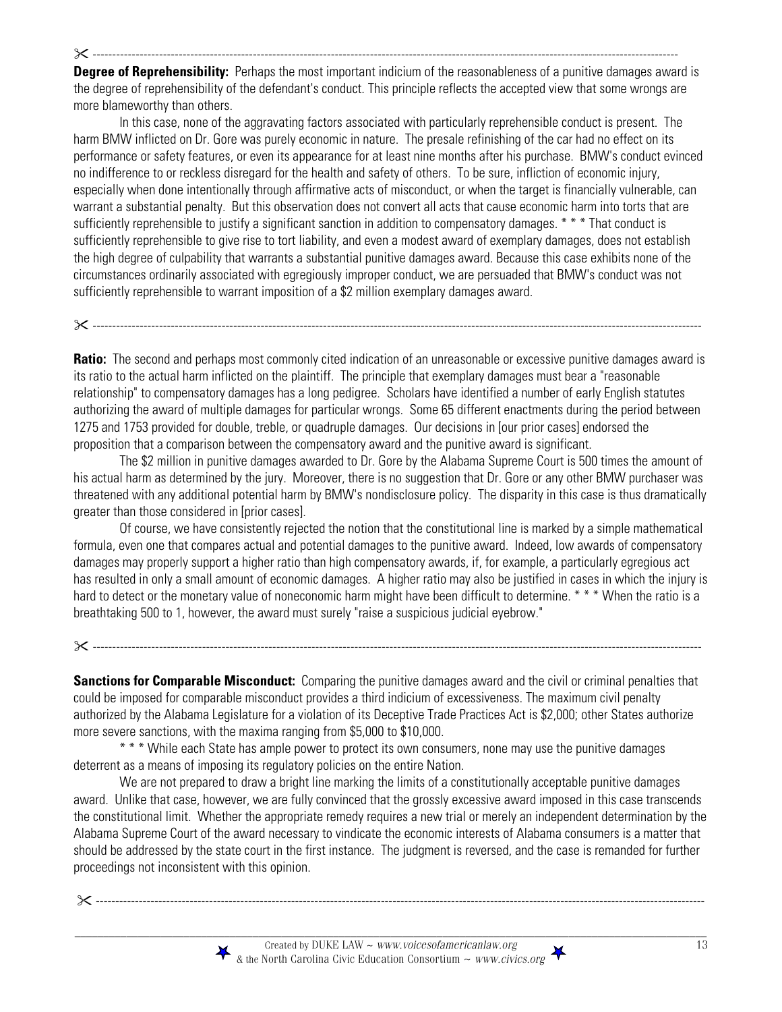------------------------------------------------------------------------------------------------------------------------------------------------------

**Degree of Reprehensibility:** Perhaps the most important indicium of the reasonableness of a punitive damages award is the degree of reprehensibility of the defendant's conduct. This principle reflects the accepted view that some wrongs are more blameworthy than others.

 In this case, none of the aggravating factors associated with particularly reprehensible conduct is present. The harm BMW inflicted on Dr. Gore was purely economic in nature. The presale refinishing of the car had no effect on its performance or safety features, or even its appearance for at least nine months after his purchase. BMW's conduct evinced no indifference to or reckless disregard for the health and safety of others. To be sure, infliction of economic injury, especially when done intentionally through affirmative acts of misconduct, or when the target is financially vulnerable, can warrant a substantial penalty. But this observation does not convert all acts that cause economic harm into torts that are sufficiently reprehensible to justify a significant sanction in addition to compensatory damages. \*\*\* That conduct is sufficiently reprehensible to give rise to tort liability, and even a modest award of exemplary damages, does not establish the high degree of culpability that warrants a substantial punitive damages award. Because this case exhibits none of the circumstances ordinarily associated with egregiously improper conduct, we are persuaded that BMW's conduct was not sufficiently reprehensible to warrant imposition of a \$2 million exemplary damages award.

------------------------------------------------------------------------------------------------------------------------------------------------------------

**Ratio:** The second and perhaps most commonly cited indication of an unreasonable or excessive punitive damages award is its ratio to the actual harm inflicted on the plaintiff. The principle that exemplary damages must bear a "reasonable relationship" to compensatory damages has a long pedigree. Scholars have identified a number of early English statutes authorizing the award of multiple damages for particular wrongs. Some 65 different enactments during the period between 1275 and 1753 provided for double, treble, or quadruple damages. Our decisions in [our prior cases] endorsed the proposition that a comparison between the compensatory award and the punitive award is significant.

 The \$2 million in punitive damages awarded to Dr. Gore by the Alabama Supreme Court is 500 times the amount of his actual harm as determined by the jury. Moreover, there is no suggestion that Dr. Gore or any other BMW purchaser was threatened with any additional potential harm by BMW's nondisclosure policy. The disparity in this case is thus dramatically greater than those considered in [prior cases].

 Of course, we have consistently rejected the notion that the constitutional line is marked by a simple mathematical formula, even one that compares actual and potential damages to the punitive award. Indeed, low awards of compensatory damages may properly support a higher ratio than high compensatory awards, if, for example, a particularly egregious act has resulted in only a small amount of economic damages. A higher ratio may also be justified in cases in which the injury is hard to detect or the monetary value of noneconomic harm might have been difficult to determine. \* \* \* When the ratio is a breathtaking 500 to 1, however, the award must surely "raise a suspicious judicial eyebrow."

------------------------------------------------------------------------------------------------------------------------------------------------------------

**Sanctions for Comparable Misconduct:** Comparing the punitive damages award and the civil or criminal penalties that could be imposed for comparable misconduct provides a third indicium of excessiveness. The maximum civil penalty authorized by the Alabama Legislature for a violation of its Deceptive Trade Practices Act is \$2,000; other States authorize more severe sanctions, with the maxima ranging from \$5,000 to \$10,000.

\* \* \* While each State has ample power to protect its own consumers, none may use the punitive damages deterrent as a means of imposing its regulatory policies on the entire Nation.

We are not prepared to draw a bright line marking the limits of a constitutionally acceptable punitive damages award. Unlike that case, however, we are fully convinced that the grossly excessive award imposed in this case transcends the constitutional limit. Whether the appropriate remedy requires a new trial or merely an independent determination by the Alabama Supreme Court of the award necessary to vindicate the economic interests of Alabama consumers is a matter that should be addressed by the state court in the first instance. The judgment is reversed, and the case is remanded for further proceedings not inconsistent with this opinion.

------------------------------------------------------------------------------------------------------------------------------------------------------------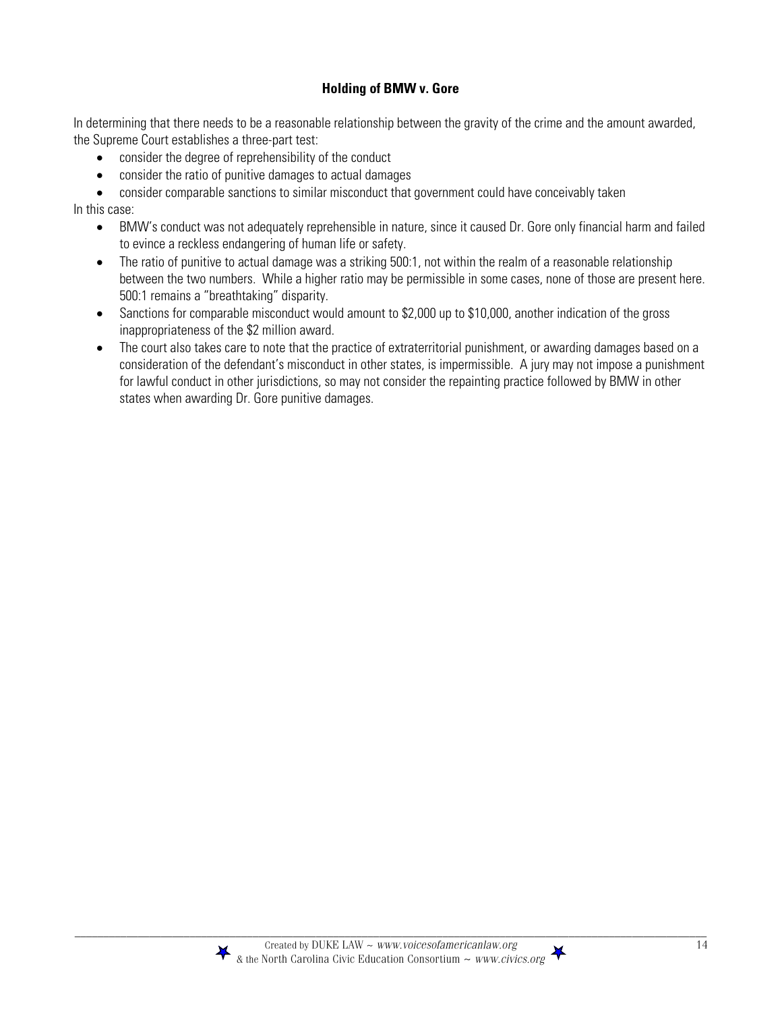## **Holding of BMW v. Gore**

In determining that there needs to be a reasonable relationship between the gravity of the crime and the amount awarded, the Supreme Court establishes a three-part test:

- consider the degree of reprehensibility of the conduct
- consider the ratio of punitive damages to actual damages

• consider comparable sanctions to similar misconduct that government could have conceivably taken

In this case:

- BMW's conduct was not adequately reprehensible in nature, since it caused Dr. Gore only financial harm and failed to evince a reckless endangering of human life or safety.
- The ratio of punitive to actual damage was a striking 500:1, not within the realm of a reasonable relationship between the two numbers. While a higher ratio may be permissible in some cases, none of those are present here. 500:1 remains a "breathtaking" disparity.
- Sanctions for comparable misconduct would amount to \$2,000 up to \$10,000, another indication of the gross inappropriateness of the \$2 million award.
- The court also takes care to note that the practice of extraterritorial punishment, or awarding damages based on a consideration of the defendant's misconduct in other states, is impermissible. A jury may not impose a punishment for lawful conduct in other jurisdictions, so may not consider the repainting practice followed by BMW in other states when awarding Dr. Gore punitive damages.

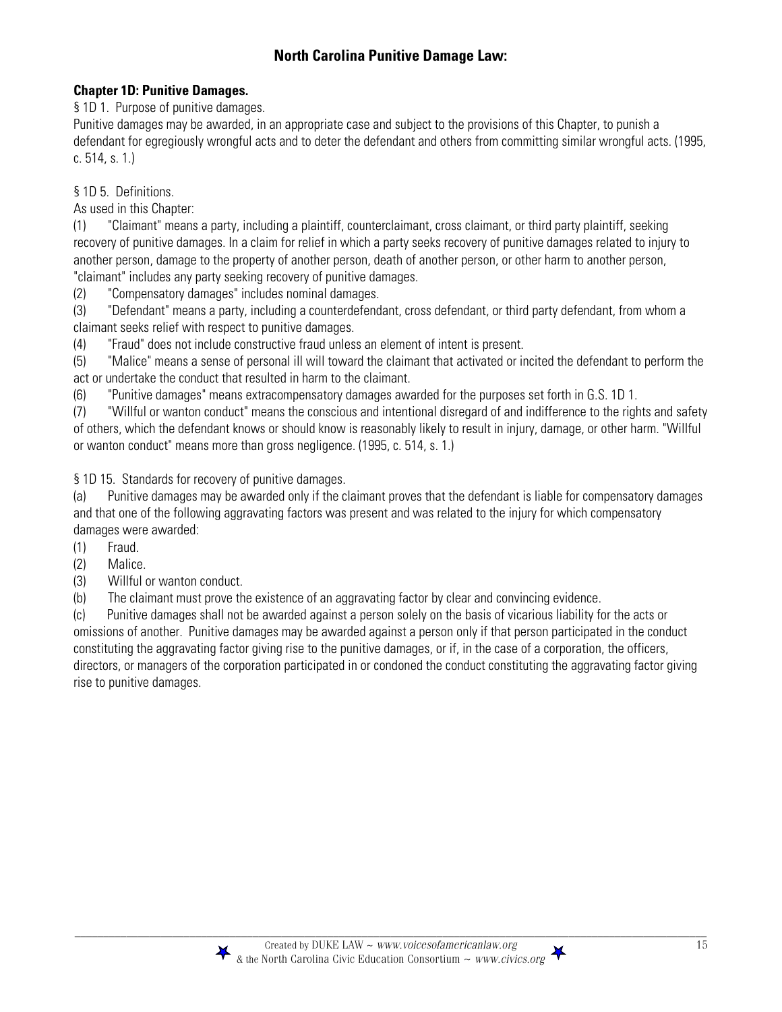# **North Carolina Punitive Damage Law:**

## **Chapter 1D: Punitive Damages.**

§ 1D 1. Purpose of punitive damages.

Punitive damages may be awarded, in an appropriate case and subject to the provisions of this Chapter, to punish a defendant for egregiously wrongful acts and to deter the defendant and others from committing similar wrongful acts. (1995, c. 514, s. 1.)

§ 1D 5. Definitions.

As used in this Chapter:

(1) "Claimant" means a party, including a plaintiff, counterclaimant, cross claimant, or third party plaintiff, seeking recovery of punitive damages. In a claim for relief in which a party seeks recovery of punitive damages related to injury to another person, damage to the property of another person, death of another person, or other harm to another person, "claimant" includes any party seeking recovery of punitive damages.

(2) "Compensatory damages" includes nominal damages.

(3) "Defendant" means a party, including a counterdefendant, cross defendant, or third party defendant, from whom a claimant seeks relief with respect to punitive damages.

(4) "Fraud" does not include constructive fraud unless an element of intent is present.

(5) "Malice" means a sense of personal ill will toward the claimant that activated or incited the defendant to perform the act or undertake the conduct that resulted in harm to the claimant.

(6) "Punitive damages" means extracompensatory damages awarded for the purposes set forth in G.S. 1D 1.

(7) "Willful or wanton conduct" means the conscious and intentional disregard of and indifference to the rights and safety of others, which the defendant knows or should know is reasonably likely to result in injury, damage, or other harm. "Willful or wanton conduct" means more than gross negligence. (1995, c. 514, s. 1.)

§ 1D 15. Standards for recovery of punitive damages.

(a) Punitive damages may be awarded only if the claimant proves that the defendant is liable for compensatory damages and that one of the following aggravating factors was present and was related to the injury for which compensatory damages were awarded:

- (1) Fraud.
- (2) Malice.

(3) Willful or wanton conduct.

(b) The claimant must prove the existence of an aggravating factor by clear and convincing evidence.

(c) Punitive damages shall not be awarded against a person solely on the basis of vicarious liability for the acts or omissions of another. Punitive damages may be awarded against a person only if that person participated in the conduct constituting the aggravating factor giving rise to the punitive damages, or if, in the case of a corporation, the officers, directors, or managers of the corporation participated in or condoned the conduct constituting the aggravating factor giving rise to punitive damages.

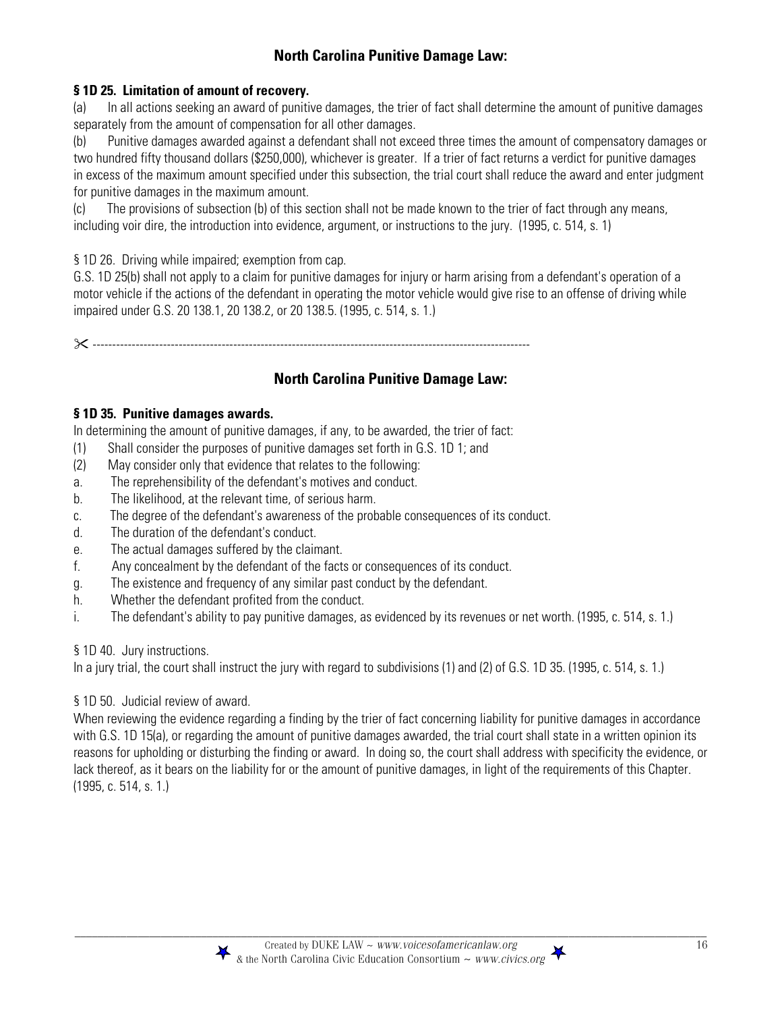# **North Carolina Punitive Damage Law:**

## **§ 1D 25. Limitation of amount of recovery.**

(a) In all actions seeking an award of punitive damages, the trier of fact shall determine the amount of punitive damages separately from the amount of compensation for all other damages.

(b) Punitive damages awarded against a defendant shall not exceed three times the amount of compensatory damages or two hundred fifty thousand dollars (\$250,000), whichever is greater. If a trier of fact returns a verdict for punitive damages in excess of the maximum amount specified under this subsection, the trial court shall reduce the award and enter judgment for punitive damages in the maximum amount.

(c) The provisions of subsection (b) of this section shall not be made known to the trier of fact through any means, including voir dire, the introduction into evidence, argument, or instructions to the jury. (1995, c. 514, s. 1)

§ 1D 26. Driving while impaired; exemption from cap.

G.S. 1D 25(b) shall not apply to a claim for punitive damages for injury or harm arising from a defendant's operation of a motor vehicle if the actions of the defendant in operating the motor vehicle would give rise to an offense of driving while impaired under G.S. 20 138.1, 20 138.2, or 20 138.5. (1995, c. 514, s. 1.)

----------------------------------------------------------------------------------------------------------------

# **North Carolina Punitive Damage Law:**

## **§ 1D 35. Punitive damages awards.**

In determining the amount of punitive damages, if any, to be awarded, the trier of fact:

- (1) Shall consider the purposes of punitive damages set forth in G.S. 1D 1; and
- (2) May consider only that evidence that relates to the following:
- a. The reprehensibility of the defendant's motives and conduct.
- b. The likelihood, at the relevant time, of serious harm.
- c. The degree of the defendant's awareness of the probable consequences of its conduct.
- d. The duration of the defendant's conduct.
- e. The actual damages suffered by the claimant.
- f. Any concealment by the defendant of the facts or consequences of its conduct.
- g. The existence and frequency of any similar past conduct by the defendant.
- h. Whether the defendant profited from the conduct.
- i. The defendant's ability to pay punitive damages, as evidenced by its revenues or net worth. (1995, c. 514, s. 1.)

## § 1D 40. Jury instructions.

In a jury trial, the court shall instruct the jury with regard to subdivisions (1) and (2) of G.S. 1D 35. (1995, c. 514, s. 1.)

## § 1D 50. Judicial review of award.

When reviewing the evidence regarding a finding by the trier of fact concerning liability for punitive damages in accordance with G.S. 1D 15(a), or regarding the amount of punitive damages awarded, the trial court shall state in a written opinion its reasons for upholding or disturbing the finding or award. In doing so, the court shall address with specificity the evidence, or lack thereof, as it bears on the liability for or the amount of punitive damages, in light of the requirements of this Chapter. (1995, c. 514, s. 1.)

![](_page_15_Picture_26.jpeg)